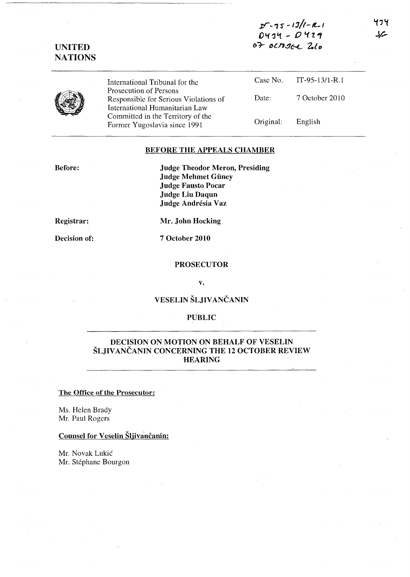**u-**'I *'S* - *13/1- Jt..#,*  **O"t'J't - 0** *'11., 61-* ~{.n~{'-L **Z,{O** 



**UNITED NATIONS** 

> International Tribunal for the Prosecution of Persons Responsible for Serious Violations of International Humanitarian Law Committed in the Territory of the Former Yugoslavia since 1991 Case No. IT-95-13/1-R.l

# Date: 7 October 2010 Original: English

# **BEFORE THE APPEALS CHAMBER**

**Before:** 

**Judge Theodor Meron, Presiding Judge Mehmet Guney Judge Fausto Pocar Judge Liu Daqun Judge Andresia Vaz** 

**Registrar:** 

**Decision of:** 

**Mr. John Hocking** 

**7 October 2010** 

## **PROSECUTOR**

**v.** 

# **VESELIN SLJIV ANCANIN**

## **PUBLIC**

# **DECISION ON MOTION ON BEHALF OF VESELIN SLJIV ANCANIN CONCERNING THE 12 OCTOBER REVIEW HEARING**

#### **The Office of the Prosecutor:**

Ms. Helen Brady Mr. Paul Rogers

# **Counsel for Veselin Sljivancanin:**

Mr. Novak Lukic Mr. Stéphane Bourgon そっそ سرك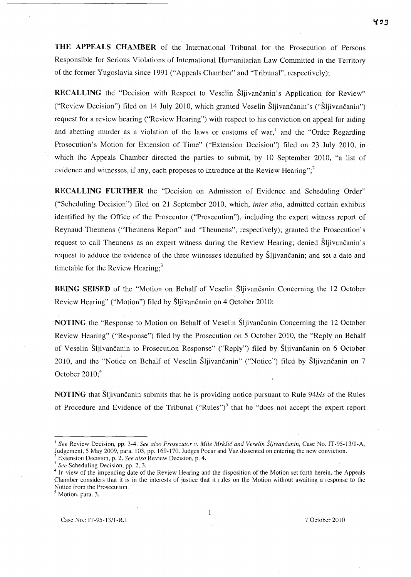**THE APPEALS CHAMBER** of the International Tribunal for the Prosecution of Persons Responsible for Serious Violations of International Humanitarian Law Committed in the Territory of the former Yugoslavia since 1991 ("Appeals Chamber" and "Tribunal", respectively);

RECALLING the "Decision with Respect to Veselin Šljivančanin's Application for Review" ("Review Decision") filed on 14 July 2010, which granted Veselin Šljivančanin's ("Šljivančanin") request for a review hearing ("Review Hearing") with respect to his conviction on appeal for aiding and abetting murder as a violation of the laws or customs of war,<sup>1</sup> and the "Order Regarding" Prosecution's Motion for Extension of Time" ("Extension Decision") filed on 23 July 2010, in which the Appeals Chamber directed the parties to submit, by 10 September 2010, "a list of evidence and witnesses, if any, each proposes to introduce at the Review Hearing"; $\frac{2}{3}$ 

**RECALLING FURTHER** the "Decision on Admission of Evidence and Scheduling Order" ("Scheduling Decision") filed on 21 September 2010, which, *inter alia,* admitted certain exhibits identified by the Office of the Prosecutor ("Prosecution"), including the expert witness report of Reynaud Theunens ("Theunens Report" and "Theunens", respectively); granted the Prosecution's request to call Theunens as an expert witness during the Review Hearing; denied Sljivancanin's request to adduce the evidence of the three witnesses identified by Sljivancanin; and set a date and timetable for the Review Hearing; $3$ 

**BEING SEISED** of the "Motion on Behalf of Veselin Sljivančanin Concerning the 12 October Review Hearing" ("Motion") filed by Šljivančanin on 4 October 2010;

**NOTING** the "Response to Motion on Behalf of Veselin Šljivančanin Concerning the 12 October Review Hearing" ("Response") filed by the Prosecution on 5 October 2010, the "Reply on Behalf of Veselin Sljivancanin to Prosecution Response" ("Reply") filed by Sljivancanin on 6 October 2010, and the "Notice on Behalf of Veselin Šljivančanin" ("Notice") filed by Šljivančanin on 7 October  $2010$ ;<sup>4</sup>

**NOTING** that Sljivancanin submits that he is providing notice pursuant to Rule *94bis* of the Rules of Procedure and Evidence of the Tribunal ("Rules")<sup>5</sup> that he "does not accept the expert report

<sup>J</sup>*See* Review Decision, pp. 3-4. *See also Prosecutor v. Mile Mrk§ic and Veselin SljivanG<anin,* Case No. IT-95-13/l-A, Judgement, 5 May 2009, para. 103, pp. 169-170. Judges Pocar and Vaz dissented on entering the new conviction.

<sup>2</sup>Extension Decision, p. 2. *See also* Review Decision, p. 4.

<sup>3</sup>*See* Scheduling Decision, pp. 2, 3.

In view of the impending date of the Review Hearing and the disposition of the Motion set forth herein, the Appeals Chamber considers that it is in the interests of justice that it rules on the Motion without awaiting a response to the Notice from the Prosecution.

<sup>&</sup>lt;sup>5</sup> Motion, para. 3.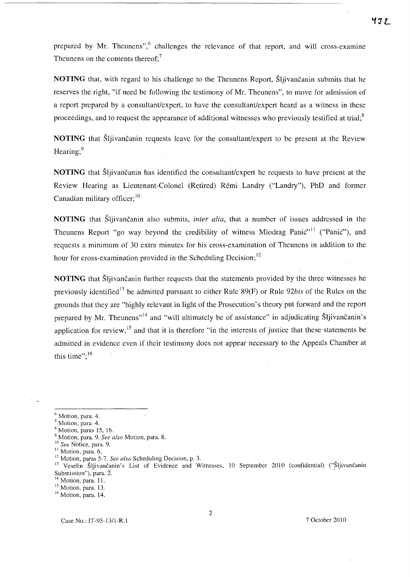prepared by Mr. Theunens", $6$  challenges the relevance of that report, and will cross-examine Theunens on the contents thereof:<sup>7</sup>

NOTING that, with regard to his challenge to the Theunens Report, Sliivancanin submits that he reserves the right, "if need be following the testimony of Mr. Theunens", to move for admission of a report prepared by a consultant/expert, to have the consultant/expert heard as a witness in these proceedings, and to request the appearance of additional witnesses who previously testified at trial; $\delta$ 

**NOTING** that Sljivancanin requests leave for the consultant/expert to be present at the Review Hearing;<sup>9</sup>

**NOTING** that Sljivancanin has identified the consultant/expert he requests to have present at the Review Hearing as Lieutenant-Colonel (Retired) Remi Landry ("Landry"), PhD and former Canadian military officer;  $10$ 

NOTING that Sljivancanin also submits, *inter alia,* that a number of issues addressed in the Theunens Report "go way beyond the credibility of witness Miodrag Panic<sup>",11</sup> ("Panic"), and requests a minimum of 30 extra minutes for his cross-examination of Theunens in addition to the hour for cross-examination provided in the Scheduling Decision;  $12$ 

**NOTING** that Šliivančanin further requests that the statements provided by the three witnesses he previously identified 13 be admitted pursuant to either Rule 89(F) or Rule *92bis* of the Rules on the grounds that they are "highly relevant in light of the Prosecution's theory put forward and the report prepared by Mr. Theunens"<sup>14</sup> and "will ultimately be of assistance" in adjudicating Šljivančanin's application for review,<sup>15</sup> and that it is therefore "in the interests of justice that these statements be admitted in evidence even if their testimony does not appear necessary to the Appeals. Chamber at this time": $16$ 

2

<sup>6</sup> Motion, para. 4.

Motion, para. 4.

<sup>8</sup> Motion, paras 15, 16.

<sup>9</sup> Motion, para. 9. *See also* Motion, para. 8.

<sup>10</sup>*See* Notice, para. 9.

<sup>&</sup>lt;sup>11</sup> Motion, para. 6.

<sup>12</sup> Motion, paras 5-7. *See also* Scheduling Decision, p. 3.

<sup>13</sup> Veselin Šljivančanin's List of Evidence and Witnesses, 10 September 2010 (confidential) ("Šljivančanin<br>Submission"), para. 2.

 $14$  Motion, para. 11.

<sup>&</sup>lt;sup>15</sup> Motion, para. 13.

<sup>&</sup>lt;sup>16</sup> Motion, para. 14.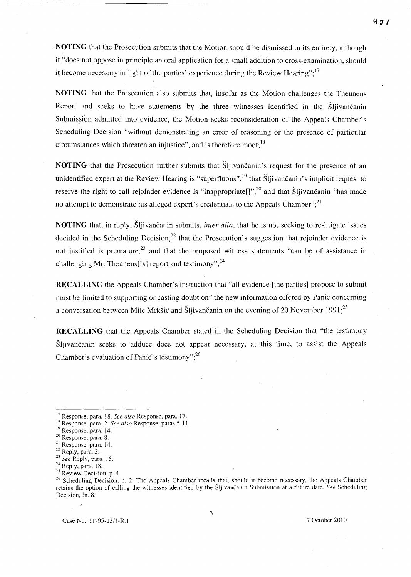**NOTING** that the Prosecution submits that the Motion should be dismissed in its entirety, although it "does not oppose in principle an oral application for a small addition to cross-examination, should it become necessary in light of the parties' experience during the Review Hearing";  $17$ 

**NOTING** that the Prosecution also submits that, insofar as the Motion challenges the Theunens Report and seeks to have statements by the three witnesses identified in the Sljivancanin Submission admitted into evidence, the Motion seeks reconsideration of the Appeals Chamber's Scheduling Decision "without demonstrating an error of reasoning or the presence of particular circumstances which threaten an injustice", and is therefore moot;  $18$ 

**NOTING** that the Prosecution further submits that Sljivancanin's request for the presence of an unidentified expert at the Review Hearing is "superfluous",  $\frac{19}{19}$  that Sljivancanin's implicit request to reserve the right to call rejoinder evidence is "inappropriate<sup>[]", 20</sup> and that Sljivancanin "has made no attempt to demonstrate his alleged expert's credentials to the Appeals Chamber", $^{21}$ 

**NOTING** that, in reply, Šljivančanin submits, *inter alia*, that he is not seeking to re-litigate issues decided in the Scheduling Decision,<sup>22</sup> that the Prosecution's suggestion that rejoinder evidence is not justified is premature,  $2<sup>3</sup>$  and that the proposed witness statements "can be of assistance in challenging Mr. Theunens<sup>['s]</sup> report and testimony";<sup>24</sup>

**RECALLING** the Appeals Chamber's instruction that "all evidence [the parties] propose to submit must be limited to supporting or casting doubt on" the new information offered by Panic concerning a conversation between Mile Mrkšić and Šljivančanin on the evening of 20 November 1991;<sup>25</sup>

**RECALLING** that the Appeals Chamber stated in the Scheduling Decision that "the testimony Sljivancanin seeks to adduce does not appear necessary, at this time, to assist the Appeals Chamber's evaluation of Panic's testimony",  $^{26}$ 

Case No.: IT-95-13/l-R.I 7 October 201 0

<sup>17</sup> Response, para. 18. *See also* Response, para. 17.

<sup>&</sup>lt;sup>18</sup> Response, para. 2. *See also* Response, paras 5-11.

<sup>&</sup>lt;sup>19</sup> Response, para. 14.

<sup>20</sup> Response, para. 8.

<sup>&</sup>lt;sup>21</sup> Response, para. 14.

<sup>22</sup> Reply, para. 3.

<sup>23</sup>*See* Reply, para. IS.

<sup>&</sup>lt;sup>24</sup> Reply, para. 18.

 $25$  Review Decision, p. 4.

<sup>&</sup>lt;sup>26</sup> Scheduling Decision, p. 2. The Appeals Chamber recalls that, should it become necessary, the Appeals Chamber retains the option of calling the witnesses identified by the Sljivančanin Submission at a future date. *See* Scheduling Decision, fn. 8.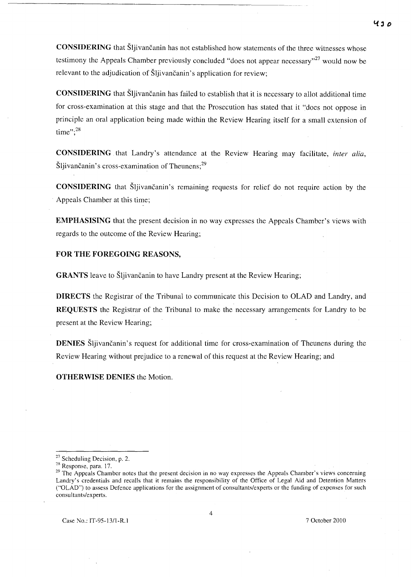**CONSIDERING** that Sljivancanin has not established how statements of the three witnesses whose testimony the Appeals Chamber previously concluded "does not appear necessary"<sup>27</sup> would now be relevant to the adjudication of Šljivančanin's application for review;

**CONSIDERING** that Šljivančanin has failed to establish that it is necessary to allot additional time for cross-examination at this stage and that the Prosecution has stated that it "does not oppose in principle an oral application being made within the Review Hearing itself for a small extension of time"; $^{28}$ 

**CONSIDERING** that Landry's attendance at the Review Hearing may facilitate, *inter alia,*   $\text{S}$ ljivančanin's cross-examination of Theunens;<sup>29</sup>

**CONSIDERING** that Šljivančanin's remaining requests for relief do not require action by the Appeals Chamber at this time;

**EMPHASISING** that the present decision in no way expresses the Appeals Chamber's views with regards to the outcome of the Review Hearing;

### **FOR THE FOREGOING REASONS,**

**GRANTS** leave to Šljivančanin to have Landry present at the Review Hearing;

**DIRECTS** the Registrar of the Tribunal to communicate this Decision to OLAD and Landry, and **REQUESTS** the Registrar of the Tribunal to make the necessary arrangements for Landry to be present at the Review Hearing;

**DENIES** Sljivančanin's request for additional time for cross-examination of Theunens during the Review Hearing without prejudice to a renewal of this request at the Review Hearing; and

**OTHERWISE DENIES** the Motion.

<sup>&</sup>lt;sup>27</sup> Scheduling Decision, p. 2.

<sup>28</sup> Response, para. 17.

<sup>&</sup>lt;sup>29</sup> The Appeals Chamber notes that the present decision in no way expresses the Appeals Chamber's views concerning Landry's credentials and recalls that it remains the responsibility of the Office of Legal Aid and Detention Matters ("OLAD") to assess Defence applications for the assignment of consultants/experts or the funding of expenses for such consultants/experts.